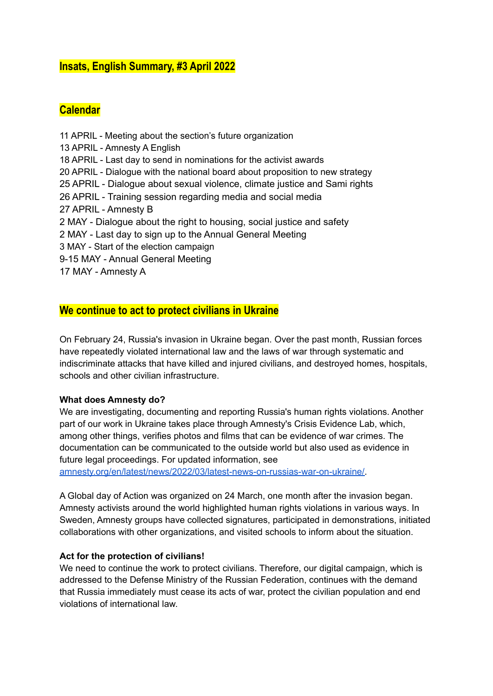# **Insats, English Summary, #3 April 2022**

# **Calendar**

 APRIL - Meeting about the section's future organization APRIL - Amnesty A English APRIL - Last day to send in nominations for the activist awards APRIL - Dialogue with the national board about proposition to new strategy APRIL - Dialogue about sexual violence, climate justice and Sami rights APRIL - Training session regarding media and social media APRIL - Amnesty B MAY - Dialogue about the right to housing, social justice and safety MAY - Last day to sign up to the Annual General Meeting MAY - Start of the election campaign 9-15 MAY - Annual General Meeting MAY - Amnesty A

# **We continue to act to protect civilians in Ukraine**

On February 24, Russia's invasion in Ukraine began. Over the past month, Russian forces have repeatedly violated international law and the laws of war through systematic and indiscriminate attacks that have killed and injured civilians, and destroyed homes, hospitals, schools and other civilian infrastructure.

### **What does Amnesty do?**

We are investigating, documenting and reporting Russia's human rights violations. Another part of our work in Ukraine takes place through Amnesty's Crisis Evidence Lab, which, among other things, verifies photos and films that can be evidence of war crimes. The documentation can be communicated to the outside world but also used as evidence in future legal proceedings. For updated information, see

[amnesty.org/en/latest/news/2022/03/latest-news-on-russias-war-on-ukraine/.](https://www.amnesty.org/en/latest/news/2022/03/latest-news-on-russias-war-on-ukraine/)

A Global day of Action was organized on 24 March, one month after the invasion began. Amnesty activists around the world highlighted human rights violations in various ways. In Sweden, Amnesty groups have collected signatures, participated in demonstrations, initiated collaborations with other organizations, and visited schools to inform about the situation.

### **Act for the protection of civilians!**

We need to continue the work to protect civilians. Therefore, our digital campaign, which is addressed to the Defense Ministry of the Russian Federation, continues with the demand that Russia immediately must cease its acts of war, protect the civilian population and end violations of international law.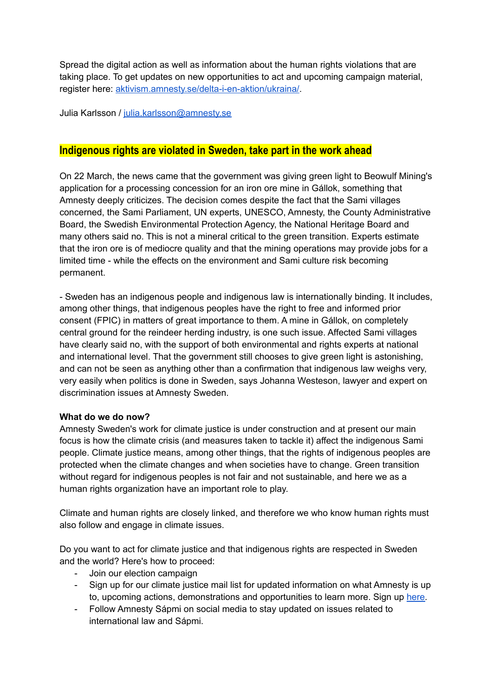Spread the digital action as well as information about the human rights violations that are taking place. To get updates on new opportunities to act and upcoming campaign material, register here: [aktivism.amnesty.se/delta-i-en-aktion/ukraina/.](https://aktivism.amnesty.se/delta-i-en-aktion/ukraina/)

Julia Karlsson / [julia.karlsson@amnesty.se](mailto:julia.karlsson@amnesty.se)

# **Indigenous rights are violated in Sweden, take part in the work ahead**

On 22 March, the news came that the government was giving green light to Beowulf Mining's application for a processing concession for an iron ore mine in Gállok, something that Amnesty deeply criticizes. The decision comes despite the fact that the Sami villages concerned, the Sami Parliament, UN experts, UNESCO, Amnesty, the County Administrative Board, the Swedish Environmental Protection Agency, the National Heritage Board and many others said no. This is not a mineral critical to the green transition. Experts estimate that the iron ore is of mediocre quality and that the mining operations may provide jobs for a limited time - while the effects on the environment and Sami culture risk becoming permanent.

- Sweden has an indigenous people and indigenous law is internationally binding. It includes, among other things, that indigenous peoples have the right to free and informed prior consent (FPIC) in matters of great importance to them. A mine in Gállok, on completely central ground for the reindeer herding industry, is one such issue. Affected Sami villages have clearly said no, with the support of both environmental and rights experts at national and international level. That the government still chooses to give green light is astonishing, and can not be seen as anything other than a confirmation that indigenous law weighs very, very easily when politics is done in Sweden, says Johanna Westeson, lawyer and expert on discrimination issues at Amnesty Sweden.

#### **What do we do now?**

Amnesty Sweden's work for climate justice is under construction and at present our main focus is how the climate crisis (and measures taken to tackle it) affect the indigenous Sami people. Climate justice means, among other things, that the rights of indigenous peoples are protected when the climate changes and when societies have to change. Green transition without regard for indigenous peoples is not fair and not sustainable, and here we as a human rights organization have an important role to play.

Climate and human rights are closely linked, and therefore we who know human rights must also follow and engage in climate issues.

Do you want to act for climate justice and that indigenous rights are respected in Sweden and the world? Here's how to proceed:

- Join our election campaign
- Sign up for our climate justice mail list for updated information on what Amnesty is up to, upcoming actions, demonstrations and opportunities to learn more. Sign up [here.](https://forms.office.com/pages/responsepage.aspx?id=yr4IYRsEvUSprDwQ183ADhHNmXTRjqdMsL1oUDWGtElUQzBKTFdVRk5CVDFOS01OMUo2RERLSjJSRy4u)
- Follow Amnesty Sápmi on social media to stay updated on issues related to international law and Sápmi.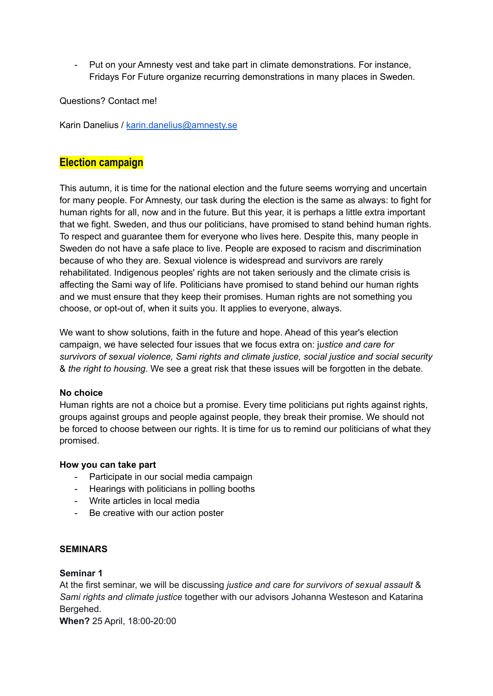- Put on your Amnesty vest and take part in climate demonstrations. For instance, Fridays For Future organize recurring demonstrations in many places in Sweden.

Questions? Contact me!

Karin Danelius / [karin.danelius@amnesty.se](mailto:karin.danelius@amnesty.se)

# **Election campaign**

This autumn, it is time for the national election and the future seems worrying and uncertain for many people. For Amnesty, our task during the election is the same as always: to fight for human rights for all, now and in the future. But this year, it is perhaps a little extra important that we fight. Sweden, and thus our politicians, have promised to stand behind human rights. To respect and guarantee them for everyone who lives here. Despite this, many people in Sweden do not have a safe place to live. People are exposed to racism and discrimination because of who they are. Sexual violence is widespread and survivors are rarely rehabilitated. Indigenous peoples' rights are not taken seriously and the climate crisis is affecting the Sami way of life. Politicians have promised to stand behind our human rights and we must ensure that they keep their promises. Human rights are not something you choose, or opt-out of, when it suits you. It applies to everyone, always.

We want to show solutions, faith in the future and hope. Ahead of this year's election campaign, we have selected four issues that we focus extra on: j*ustice and care for survivors of sexual violence, Sami rights and climate justice, social justice and social security* & *the right to housing*. We see a great risk that these issues will be forgotten in the debate.

#### **No choice**

Human rights are not a choice but a promise. Every time politicians put rights against rights, groups against groups and people against people, they break their promise. We should not be forced to choose between our rights. It is time for us to remind our politicians of what they promised.

#### **How you can take part**

- Participate in our social media campaign
- Hearings with politicians in polling booths
- Write articles in local media
- Be creative with our action poster

### **SEMINARS**

#### **Seminar 1**

At the first seminar, we will be discussing *justice and care for survivors of sexual assault* & *Sami rights and climate justice* together with our advisors Johanna Westeson and Katarina Bergehed.

**When?** 25 April, 18:00-20:00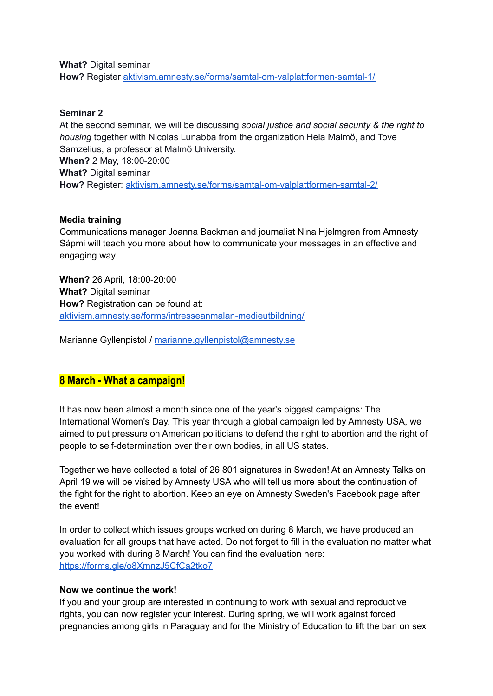**What?** Digital seminar **How?** Register [aktivism.amnesty.se/forms/samtal-om-valplattformen-samtal-1/](https://aktivism.amnesty.se/forms/samtal-om-valplattformen-samtal-1/)

#### **Seminar 2**

At the second seminar, we will be discussing *social justice and social security & the right to housing* together with Nicolas Lunabba from the organization Hela Malmö, and Tove Samzelius, a professor at Malmö University. **When?** 2 May, 18:00-20:00 **What?** Digital seminar **How?** Register: [aktivism.amnesty.se/forms/samtal-om-valplattformen-samtal-2/](https://aktivism.amnesty.se/forms/samtal-om-valplattformen-samtal-2/)

#### **Media training**

Communications manager Joanna Backman and journalist Nina Hjelmgren from Amnesty Sápmi will teach you more about how to communicate your messages in an effective and engaging way.

**When?** 26 April, 18:00-20:00 **What?** Digital seminar **How?** Registration can be found at: [aktivism.amnesty.se/forms/intresseanmalan-medieutbildning/](https://aktivism.amnesty.se/forms/intresseanmalan-medieutbildning/)

Marianne Gyllenpistol / [marianne.gyllenpistol@amnesty.se](mailto:marianne.gyllenpistol@amnesty.se)

# **8 March - What a campaign!**

It has now been almost a month since one of the year's biggest campaigns: The International Women's Day. This year through a global campaign led by Amnesty USA, we aimed to put pressure on American politicians to defend the right to abortion and the right of people to self-determination over their own bodies, in all US states.

Together we have collected a total of 26,801 signatures in Sweden! At an Amnesty Talks on April 19 we will be visited by Amnesty USA who will tell us more about the continuation of the fight for the right to abortion. Keep an eye on Amnesty Sweden's Facebook page after the event!

In order to collect which issues groups worked on during 8 March, we have produced an evaluation for all groups that have acted. Do not forget to fill in the evaluation no matter what you worked with during 8 March! You can find the evaluation here: <https://forms.gle/o8XmnzJ5CfCa2tko7>

#### **Now we continue the work!**

If you and your group are interested in continuing to work with sexual and reproductive rights, you can now register your interest. During spring, we will work against forced pregnancies among girls in Paraguay and for the Ministry of Education to lift the ban on sex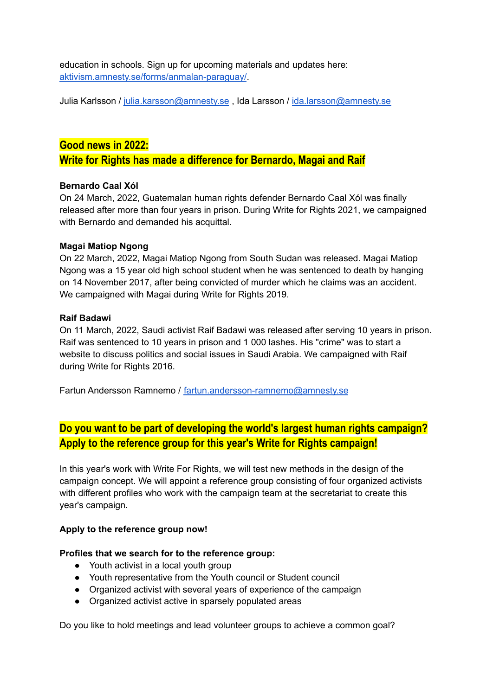education in schools. Sign up for upcoming materials and updates here: [aktivism.amnesty.se/forms/anmalan-paraguay/](https://aktivism.amnesty.se/forms/anmalan-paraguay/).

Julia Karlsson / [julia.karsson@amnesty.se](mailto:julia.karsson@amnesty.se), Ida Larsson / [ida.larsson@amnesty.se](mailto:ida.larsson@amnesty.se)

### **Good news in 2022:**

**Write for Rights has made a difference for Bernardo, Magai and Raif**

#### **Bernardo Caal Xól**

On 24 March, 2022, Guatemalan human rights defender Bernardo Caal Xól was finally released after more than four years in prison. During Write for Rights 2021, we campaigned with Bernardo and demanded his acquittal.

#### **Magai Matiop Ngong**

On 22 March, 2022, Magai Matiop Ngong from South Sudan was released. Magai Matiop Ngong was a 15 year old high school student when he was sentenced to death by hanging on 14 November 2017, after being convicted of murder which he claims was an accident. We campaigned with Magai during Write for Rights 2019.

### **Raif Badawi**

On 11 March, 2022, Saudi activist Raif Badawi was released after serving 10 years in prison. Raif was sentenced to 10 years in prison and 1 000 lashes. His "crime" was to start a website to discuss politics and social issues in Saudi Arabia. We campaigned with Raif during Write for Rights 2016.

Fartun Andersson Ramnemo / [fartun.andersson-ramnemo@amnesty.se](mailto:fartun.andersson-ramnemo@amnesty.se)

# **Do you want to be part of developing the world's largest human rights campaign? Apply to the reference group for this year's Write for Rights campaign!**

In this year's work with Write For Rights, we will test new methods in the design of the campaign concept. We will appoint a reference group consisting of four organized activists with different profiles who work with the campaign team at the secretariat to create this year's campaign.

#### **Apply to the reference group now!**

#### **Profiles that we search for to the reference group:**

- Youth activist in a local youth group
- Youth representative from the Youth council or Student council
- Organized activist with several years of experience of the campaign
- Organized activist active in sparsely populated areas

Do you like to hold meetings and lead volunteer groups to achieve a common goal?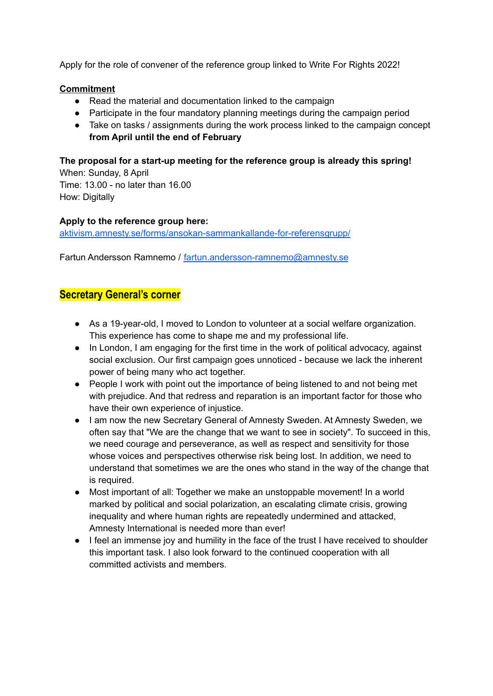Apply for the role of convener of the reference group linked to Write For Rights 2022!

### **Commitment**

- Read the material and documentation linked to the campaign
- Participate in the four mandatory planning meetings during the campaign period
- Take on tasks / assignments during the work process linked to the campaign concept **from April until the end of February**

**The proposal for a start-up meeting for the reference group is already this spring!** When: Sunday, 8 April

Time: 13.00 - no later than 16.00 How: Digitally

### **Apply to the reference group here:**

[aktivism.amnesty.se/forms/ansokan-sammankallande-for-referensgrupp/](https://aktivism.amnesty.se/forms/ansokan-sammankallande-for-referensgrupp/)

Fartun Andersson Ramnemo / [fartun.andersson-ramnemo@amnesty.se](mailto:fartun.andersson-ramnemo@amnesty.se)

## **Secretary General's corner**

- As a 19-year-old, I moved to London to volunteer at a social welfare organization. This experience has come to shape me and my professional life.
- In London, I am engaging for the first time in the work of political advocacy, against social exclusion. Our first campaign goes unnoticed - because we lack the inherent power of being many who act together.
- People I work with point out the importance of being listened to and not being met with prejudice. And that redress and reparation is an important factor for those who have their own experience of injustice.
- I am now the new Secretary General of Amnesty Sweden. At Amnesty Sweden, we often say that "We are the change that we want to see in society". To succeed in this, we need courage and perseverance, as well as respect and sensitivity for those whose voices and perspectives otherwise risk being lost. In addition, we need to understand that sometimes we are the ones who stand in the way of the change that is required.
- Most important of all: Together we make an unstoppable movement! In a world marked by political and social polarization, an escalating climate crisis, growing inequality and where human rights are repeatedly undermined and attacked, Amnesty International is needed more than ever!
- I feel an immense joy and humility in the face of the trust I have received to shoulder this important task. I also look forward to the continued cooperation with all committed activists and members.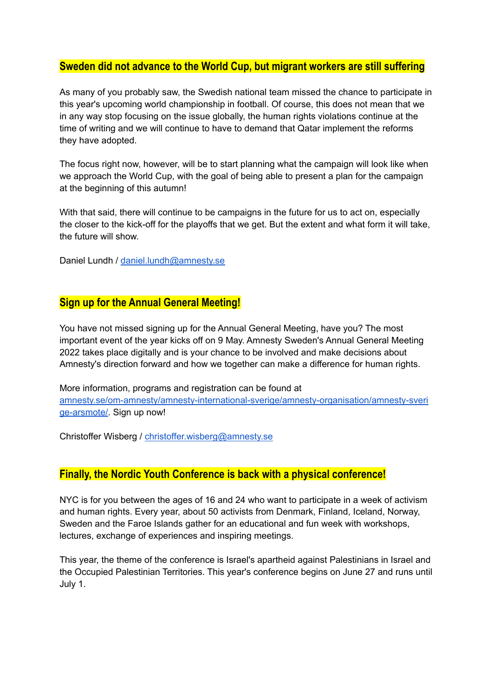# **Sweden did not advance to the World Cup, but migrant workers are still suffering**

As many of you probably saw, the Swedish national team missed the chance to participate in this year's upcoming world championship in football. Of course, this does not mean that we in any way stop focusing on the issue globally, the human rights violations continue at the time of writing and we will continue to have to demand that Qatar implement the reforms they have adopted.

The focus right now, however, will be to start planning what the campaign will look like when we approach the World Cup, with the goal of being able to present a plan for the campaign at the beginning of this autumn!

With that said, there will continue to be campaigns in the future for us to act on, especially the closer to the kick-off for the playoffs that we get. But the extent and what form it will take, the future will show.

Daniel Lundh / [daniel.lundh@amnesty.se](mailto:daniel.lundh@amnesty.se)

## **Sign up for the Annual General Meeting!**

You have not missed signing up for the Annual General Meeting, have you? The most important event of the year kicks off on 9 May. Amnesty Sweden's Annual General Meeting 2022 takes place digitally and is your chance to be involved and make decisions about Amnesty's direction forward and how we together can make a difference for human rights.

More information, programs and registration can be found at [amnesty.se/om-amnesty/amnesty-international-sverige/amnesty-organisation/amnesty-sveri](https://www.amnesty.se/om-amnesty/amnesty-international-sverige/amnesty-organisation/amnesty-sverige-arsmote/) [ge-arsmote/.](https://www.amnesty.se/om-amnesty/amnesty-international-sverige/amnesty-organisation/amnesty-sverige-arsmote/) Sign up now!

Christoffer Wisberg / [christoffer.wisberg@amnesty.se](mailto:christoffer.wisberg@amnesty.se)

## **Finally, the Nordic Youth Conference is back with a physical conference!**

NYC is for you between the ages of 16 and 24 who want to participate in a week of activism and human rights. Every year, about 50 activists from Denmark, Finland, Iceland, Norway, Sweden and the Faroe Islands gather for an educational and fun week with workshops, lectures, exchange of experiences and inspiring meetings.

This year, the theme of the conference is Israel's apartheid against Palestinians in Israel and the Occupied Palestinian Territories. This year's conference begins on June 27 and runs until July 1.